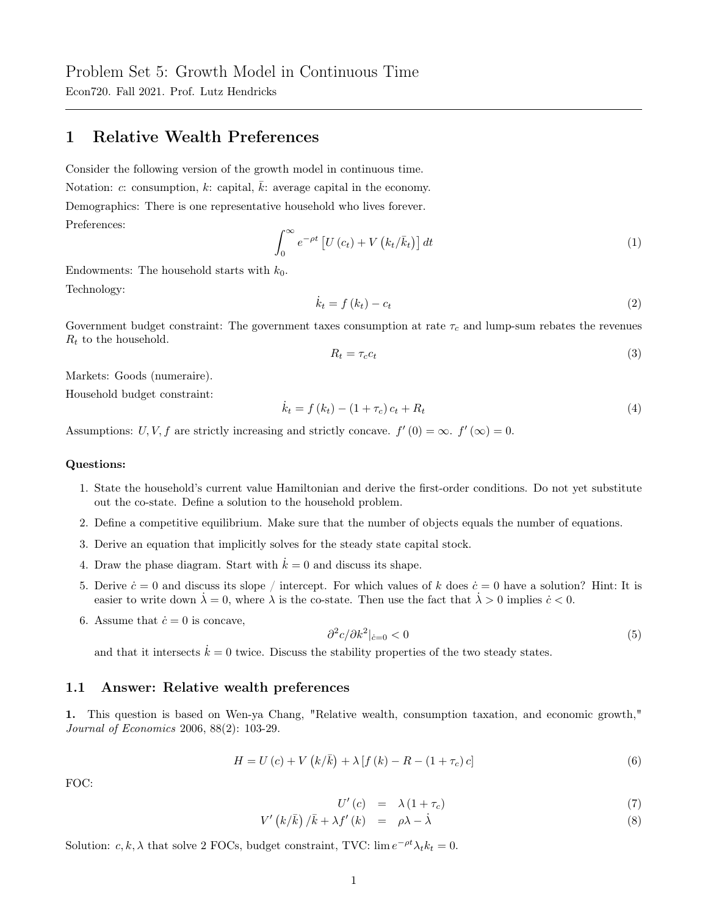Econ720. Fall 2021. Prof. Lutz Hendricks

# 1 Relative Wealth Preferences

Consider the following version of the growth model in continuous time. Notation: c: consumption, k: capital,  $\overline{k}$ : average capital in the economy. Demographics: There is one representative household who lives forever. Preferences:

$$
\int_0^\infty e^{-\rho t} \left[ U\left(c_t\right) + V\left(k_t/\bar{k}_t\right) \right] dt \tag{1}
$$

Endowments: The household starts with  $k_0$ . Technology:

$$
\dot{k}_t = f(k_t) - c_t \tag{2}
$$

Government budget constraint: The government taxes consumption at rate  $\tau_c$  and lump-sum rebates the revenues  $R_t$  to the household.

$$
R_t = \tau_c c_t \tag{3}
$$

Markets: Goods (numeraire).

Household budget constraint:

$$
\dot{k}_t = f(k_t) - (1 + \tau_c)c_t + R_t \tag{4}
$$

Assumptions: U, V, f are strictly increasing and strictly concave.  $f'(0) = \infty$ .  $f'(\infty) = 0$ .

#### Questions:

- 1. State the household's current value Hamiltonian and derive the first-order conditions. Do not yet substitute out the co-state. Define a solution to the household problem.
- 2. Define a competitive equilibrium. Make sure that the number of objects equals the number of equations.
- 3. Derive an equation that implicitly solves for the steady state capital stock.
- 4. Draw the phase diagram. Start with  $\dot{k} = 0$  and discuss its shape.
- 5. Derive  $\dot{c}=0$  and discuss its slope / intercept. For which values of k does  $\dot{c}=0$  have a solution? Hint: It is easier to write down  $\lambda = 0$ , where  $\lambda$  is the co-state. Then use the fact that  $\lambda > 0$  implies  $\dot{c} < 0$ .
- 6. Assume that  $\dot{c} = 0$  is concave,

$$
\frac{\partial^2 c}{\partial k^2}\big|_{\dot{c}=0} < 0 \tag{5}
$$

and that it intersects  $\dot{k} = 0$  twice. Discuss the stability properties of the two steady states.

### 1.1 Answer: Relative wealth preferences

1. This question is based on Wen-ya Chang, "Relative wealth, consumption taxation, and economic growth," Journal of Economics 2006, 88(2): 103-29.

$$
H = U(c) + V(k/\bar{k}) + \lambda [f(k) - R - (1 + \tau_c) c]
$$
\n(6)

FOC:

$$
U'(c) = \lambda (1 + \tau_c) \tag{7}
$$

$$
V'\left(k/\bar{k}\right)/\bar{k}+\lambda f'\left(k\right) \quad = \quad \rho\lambda-\dot{\lambda} \tag{8}
$$

Solution:  $c, k, \lambda$  that solve 2 FOCs, budget constraint, TVC:  $\lim e^{-\rho t} \lambda_t k_t = 0$ .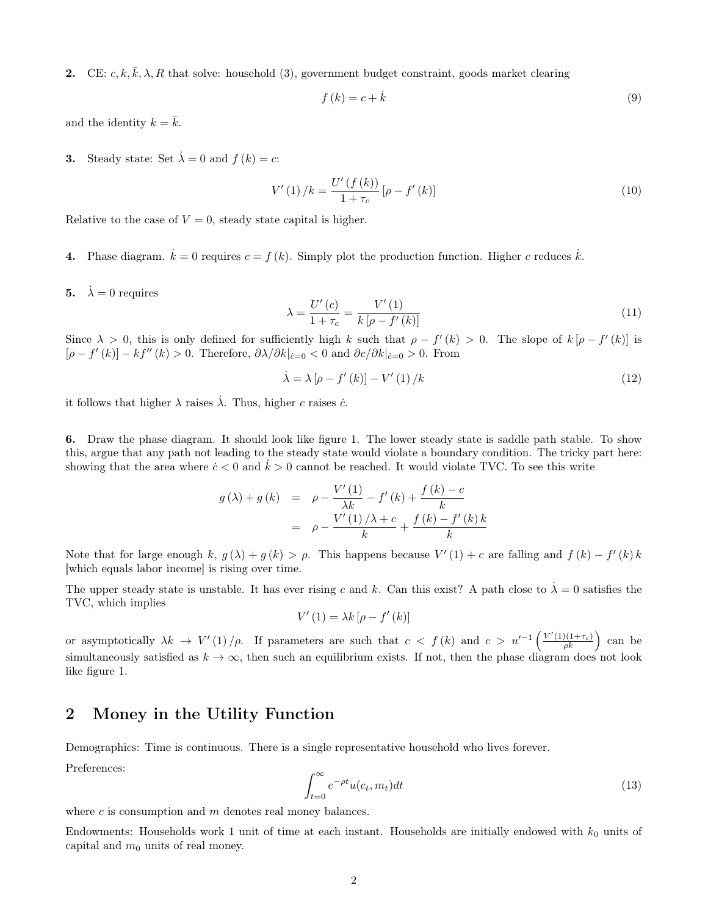**2.** CE:  $c, k, \overline{k}, \lambda, R$  that solve: household (3), government budget constraint, goods market clearing

$$
f(k) = c + \dot{k} \tag{9}
$$

and the identity  $k = \bar{k}$ .

**3.** Steady state: Set  $\dot{\lambda} = 0$  and  $f(k) = c$ :

$$
V'(1) / k = \frac{U'(f(k))}{1 + \tau_c} [\rho - f'(k)] \tag{10}
$$

Relative to the case of  $V = 0$ , steady state capital is higher.

- 4. Phase diagram.  $\dot{k} = 0$  requires  $c = f(k)$ . Simply plot the production function. Higher c reduces  $\dot{k}$ .
- 5.  $\dot{\lambda} = 0$  requires

$$
\lambda = \frac{U'(c)}{1 + \tau_c} = \frac{V'(1)}{k \left[ \rho - f'(k) \right]}
$$
\n(11)

Since  $\lambda > 0$ , this is only defined for sufficiently high k such that  $\rho - f'(k) > 0$ . The slope of  $k[\rho - f'(k)]$  is  $[\rho - f'(k)] - kf''(k) > 0$ . Therefore,  $\partial \lambda / \partial k|_{\dot{c}=0} < 0$  and  $\partial c / \partial k|_{\dot{c}=0} > 0$ . From

$$
\dot{\lambda} = \lambda \left[ \rho - f'(k) \right] - V'(1) / k \tag{12}
$$

it follows that higher  $\lambda$  raises  $\dot{\lambda}$ . Thus, higher c raises c.

6. Draw the phase diagram. It should look like figure 1. The lower steady state is saddle path stable. To show this, argue that any path not leading to the steady state would violate a boundary condition. The tricky part here: showing that the area where  $\dot{c}$  < 0 and  $k > 0$  cannot be reached. It would violate TVC. To see this write

$$
g(\lambda) + g(k) = \rho - \frac{V'(1)}{\lambda k} - f'(k) + \frac{f(k) - c}{k}
$$
  
= 
$$
\rho - \frac{V'(1)/\lambda + c}{k} + \frac{f(k) - f'(k)k}{k}
$$

Note that for large enough k,  $g(\lambda) + g(k) > \rho$ . This happens because  $V'(1) + c$  are falling and  $f(k) - f'(k)k$ [which equals labor income] is rising over time.

The upper steady state is unstable. It has ever rising c and k. Can this exist? A path close to  $\dot{\lambda} = 0$  satisfies the TVC, which implies

$$
V'(1) = \lambda k \left[ \rho - f'(k) \right]
$$

or asymptotically  $\lambda k \to V'(1) / \rho$ . If parameters are such that  $c < f(k)$  and  $c > u'^{-1} \left( \frac{V'(1)(1+\tau_c)}{\rho k} \right)$  can be simultaneously satisfied as  $k \to \infty$ , then such an equilibrium exists. If not, then the phase diagram does not look like figure 1.

## 2 Money in the Utility Function

Demographics: Time is continuous. There is a single representative household who lives forever.

Preferences:

$$
\int_{t=0}^{\infty} e^{-\rho t} u(c_t, m_t) dt \tag{13}
$$

where  $c$  is consumption and  $m$  denotes real money balances.

Endowments: Households work 1 unit of time at each instant. Households are initially endowed with  $k_0$  units of capital and  $m_0$  units of real money.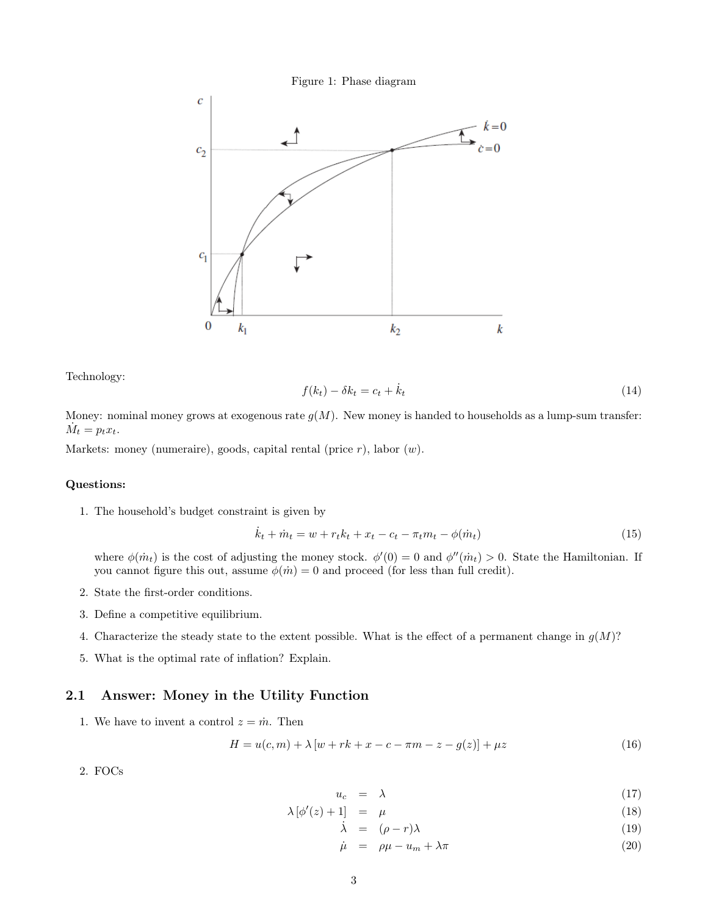



Technology:

$$
f(k_t) - \delta k_t = c_t + \dot{k}_t \tag{14}
$$

Money: nominal money grows at exogenous rate  $g(M)$ . New money is handed to households as a lump-sum transfer:  $\dot{M}_t = p_t x_t.$ 

Markets: money (numeraire), goods, capital rental (price  $r$ ), labor  $(w)$ .

### Questions:

1. The household's budget constraint is given by

$$
\dot{k}_t + \dot{m}_t = w + r_t k_t + x_t - c_t - \pi_t m_t - \phi(\dot{m}_t)
$$
\n(15)

where  $\phi(m_t)$  is the cost of adjusting the money stock.  $\phi'(0) = 0$  and  $\phi''(m_t) > 0$ . State the Hamiltonian. If you cannot figure this out, assume  $\phi(m) = 0$  and proceed (for less than full credit).

- 2. State the first-order conditions.
- 3. Define a competitive equilibrium.
- 4. Characterize the steady state to the extent possible. What is the effect of a permanent change in  $g(M)$ ?
- 5. What is the optimal rate of inflation? Explain.

## 2.1 Answer: Money in the Utility Function

1. We have to invent a control  $z = \dot{m}$ . Then

$$
H = u(c, m) + \lambda [w + rk + x - c - \pi m - z - g(z)] + \mu z \tag{16}
$$

2. FOCs

$$
u_c = \lambda \tag{17}
$$

$$
\lambda \left[ \phi'(z) + 1 \right] = \mu \tag{18}
$$

 $\dot{\lambda} = (\rho - r)\lambda$  (19)

 $\dot{\mu} = \rho \mu - u_m + \lambda \pi$  (20)